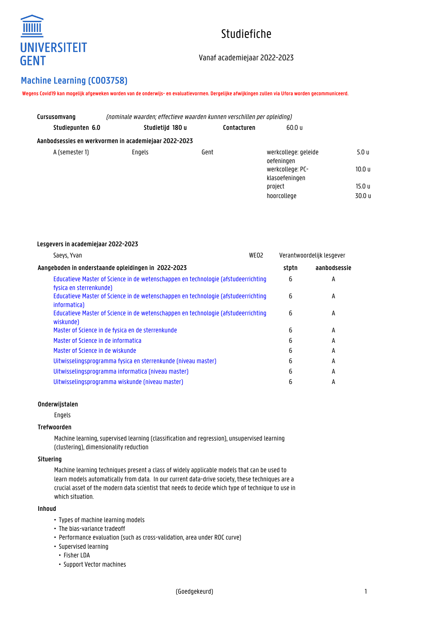

# Studiefiche

## Vanaf academiejaar 2022-2023

# **Machine Learning (C003758)**

**Lesgevers in academiejaar 2022-2023**

**Wegens Covid19 kan mogelijk afgeweken worden van de onderwijs- en evaluatievormen. Dergelijke afwijkingen zullen via Ufora worden gecommuniceerd.**

| Cursusomvang     | (nominale waarden: effectieve waarden kunnen verschillen per opleiding) |             |                                    |        |  |
|------------------|-------------------------------------------------------------------------|-------------|------------------------------------|--------|--|
| Studiepunten 6.0 | Studietijd 180 u                                                        | Contacturen | 60.0 u                             |        |  |
|                  | Aanbodsessies en werkvormen in academiejaar 2022-2023                   |             |                                    |        |  |
| A (semester 1)   | Engels                                                                  | Gent        | werkcollege: geleide<br>oefeningen | 5.0 u  |  |
|                  |                                                                         |             | werkcollege: PC-<br>klasoefeningen | 10.0 u |  |
|                  |                                                                         |             | project                            | 15.0 u |  |
|                  |                                                                         |             | hoorcollege                        | 30.0 u |  |

| Saeys, Yvan                                                                                                   | WEO <sub>2</sub> | Verantwoordelijk lesgever |              |
|---------------------------------------------------------------------------------------------------------------|------------------|---------------------------|--------------|
| Aangeboden in onderstaande opleidingen in 2022-2023                                                           |                  | stptn                     | aanbodsessie |
| Educatieve Master of Science in de wetenschappen en technologie (afstudeerrichting<br>fysica en sterrenkunde) |                  | 6                         | А            |
| Educatieve Master of Science in de wetenschappen en technologie (afstudeerrichting<br>informatica)            |                  | 6                         | A            |
| Educatieve Master of Science in de wetenschappen en technologie (afstudeerrichting<br>wiskunde)               |                  | 6                         | A            |
| Master of Science in de fysica en de sterrenkunde                                                             |                  | 6                         | A            |
| Master of Science in de informatica                                                                           |                  | 6                         | A            |
| Master of Science in de wiskunde                                                                              |                  | 6                         | A            |
| Uitwisselingsprogramma fysica en sterrenkunde (niveau master)                                                 |                  | 6                         | A            |
| Uitwisselingsprogramma informatica (niveau master)                                                            |                  | 6                         | A            |
| Uitwisselingsprogramma wiskunde (niveau master)                                                               |                  | 6                         | А            |

### **Onderwijstalen**

Engels

#### **Trefwoorden**

Machine learning, supervised learning (classification and regression), unsupervised learning (clustering), dimensionality reduction

#### **Situering**

Machine learning techniques present a class of widely applicable models that can be used to learn models automatically from data. In our current data-drive society, these techniques are a crucial asset of the modern data scientist that needs to decide which type of technique to use in which situation.

#### **Inhoud**

- Types of machine learning models
- The bias-variance tradeoff
- Performance evaluation (such as cross-validation, area under ROC curve)
- Supervised learning
- Fisher LDA
- Support Vector machines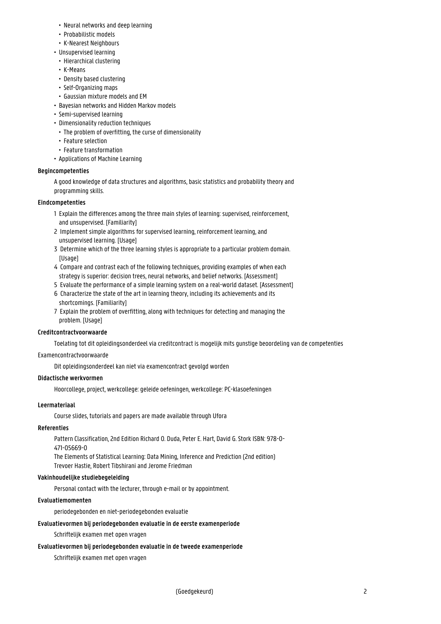- Neural networks and deep learning
- Probabilistic models
- K-Nearest Neighbours
- Unsupervised learning
- Hierarchical clustering
- K-Means
- Density based clustering
- Self-Organizing maps
- Gaussian mixture models and EM
- Bayesian networks and Hidden Markov models
- Semi-supervised learning
- Dimensionality reduction techniques
	- The problem of overfitting, the curse of dimensionality
	- Feature selection
	- Feature transformation
- Applications of Machine Learning

#### **Begincompetenties**

A good knowledge of data structures and algorithms, basic statistics and probability theory and programming skills.

#### **Eindcompetenties**

- 1 Explain the differences among the three main styles of learning: supervised, reinforcement, and unsupervised. [Familiarity]
- 2 Implement simple algorithms for supervised learning, reinforcement learning, and unsupervised learning. [Usage]
- 3 Determine which of the three learning styles is appropriate to a particular problem domain. [Usage]
- 4 Compare and contrast each of the following techniques, providing examples of when each strategy is superior: decision trees, neural networks, and belief networks. [Assessment]
- 5 Evaluate the performance of a simple learning system on a real-world dataset. [Assessment]
- 6 Characterize the state of the art in learning theory, including its achievements and its shortcomings. [Familiarity]
- 7 Explain the problem of overfitting, along with techniques for detecting and managing the problem. [Usage]

#### **Creditcontractvoorwaarde**

Toelating tot dit opleidingsonderdeel via creditcontract is mogelijk mits gunstige beoordeling van de competenties

#### Examencontractvoorwaarde

Dit opleidingsonderdeel kan niet via examencontract gevolgd worden

#### **Didactische werkvormen**

Hoorcollege, project, werkcollege: geleide oefeningen, werkcollege: PC-klasoefeningen

#### **Leermateriaal**

Course slides, tutorials and papers are made available through Ufora

#### **Referenties**

Pattern Classification, 2nd Edition Richard O. Duda, Peter E. Hart, David G. Stork ISBN: 978-0- 471-05669-0

The Elements of Statistical Learning: Data Mining, Inference and Prediction (2nd edition) Trevoer Hastie, Robert Tibshirani and Jerome Friedman

#### **Vakinhoudelijke studiebegeleiding**

Personal contact with the lecturer, through e-mail or by appointment.

#### **Evaluatiemomenten**

periodegebonden en niet-periodegebonden evaluatie

#### **Evaluatievormen bij periodegebonden evaluatie in de eerste examenperiode**

Schriftelijk examen met open vragen

#### **Evaluatievormen bij periodegebonden evaluatie in de tweede examenperiode**

Schriftelijk examen met open vragen